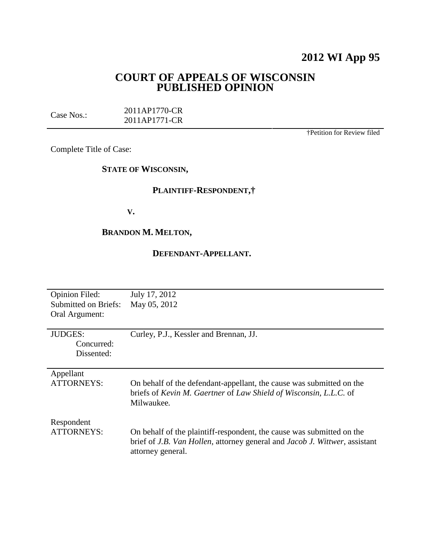# **2012 WI App 95**

# **COURT OF APPEALS OF WISCONSIN PUBLISHED OPINION**

| Case Nos.: | 2011AP1770-CR |
|------------|---------------|
|            | 2011AP1771-CR |

†Petition for Review filed

Complete Title of Case:

### **STATE OF WISCONSIN,**

# **PLAINTIFF-RESPONDENT,†**

**V.**

# **BRANDON M. MELTON,**

### **DEFENDANT-APPELLANT.**

| <b>Opinion Filed:</b><br><b>Submitted on Briefs:</b><br>Oral Argument: | July 17, 2012<br>May 05, 2012                                                                                                                                                            |
|------------------------------------------------------------------------|------------------------------------------------------------------------------------------------------------------------------------------------------------------------------------------|
| <b>JUDGES:</b><br>Concurred:<br>Dissented:                             | Curley, P.J., Kessler and Brennan, JJ.                                                                                                                                                   |
| Appellant<br><b>ATTORNEYS:</b>                                         | On behalf of the defendant-appellant, the cause was submitted on the<br>briefs of Kevin M. Gaertner of Law Shield of Wisconsin, L.L.C. of<br>Milwaukee.                                  |
| Respondent<br><b>ATTORNEYS:</b>                                        | On behalf of the plaintiff-respondent, the cause was submitted on the<br>brief of <i>J.B. Van Hollen</i> , attorney general and <i>Jacob J. Wittwer</i> , assistant<br>attorney general. |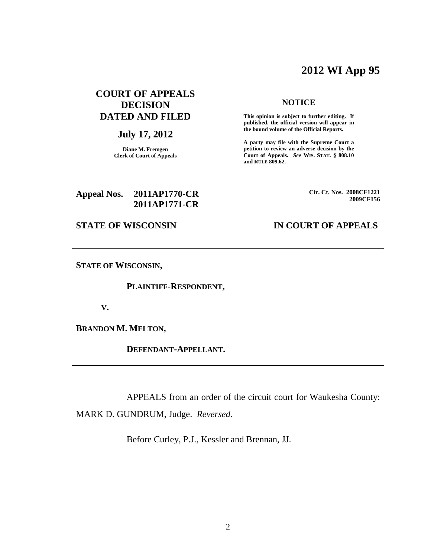# **2012 WI App 95**

# **COURT OF APPEALS DECISION DATED AND FILED**

# **July 17, 2012**

**Diane M. Fremgen Clerk of Court of Appeals**

#### **NOTICE**

**This opinion is subject to further editing. If published, the official version will appear in the bound volume of the Official Reports.**

**A party may file with the Supreme Court a petition to review an adverse decision by the Court of Appeals.** *See* **WIS. STAT. § 808.10 and RULE 809.62.**

### **Appeal Nos. 2011AP1770-CR 2011AP1771-CR**

**Cir. Ct. Nos. 2008CF1221 2009CF156**

# **STATE OF WISCONSIN IN COURT OF APPEALS**

**STATE OF WISCONSIN,**

**PLAINTIFF-RESPONDENT,**

**V.**

**BRANDON M. MELTON,**

**DEFENDANT-APPELLANT.**

APPEALS from an order of the circuit court for Waukesha County:

MARK D. GUNDRUM, Judge. *Reversed*.

Before Curley, P.J., Kessler and Brennan, JJ.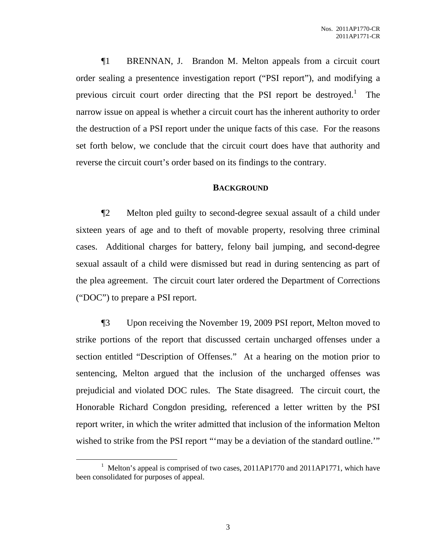¶1 BRENNAN, J. Brandon M. Melton appeals from a circuit court order sealing a presentence investigation report ("PSI report"), and modifying a previous circuit court order directing that the PSI report be destroyed.<sup>1</sup> The narrow issue on appeal is whether a circuit court has the inherent authority to order the destruction of a PSI report under the unique facts of this case. For the reasons set forth below, we conclude that the circuit court does have that authority and reverse the circuit court's order based on its findings to the contrary.

#### **BACKGROUND**

¶2 Melton pled guilty to second-degree sexual assault of a child under sixteen years of age and to theft of movable property, resolving three criminal cases. Additional charges for battery, felony bail jumping, and second-degree sexual assault of a child were dismissed but read in during sentencing as part of the plea agreement. The circuit court later ordered the Department of Corrections ("DOC") to prepare a PSI report.

¶3 Upon receiving the November 19, 2009 PSI report, Melton moved to strike portions of the report that discussed certain uncharged offenses under a section entitled "Description of Offenses." At a hearing on the motion prior to sentencing, Melton argued that the inclusion of the uncharged offenses was prejudicial and violated DOC rules. The State disagreed. The circuit court, the Honorable Richard Congdon presiding, referenced a letter written by the PSI report writer, in which the writer admitted that inclusion of the information Melton wished to strike from the PSI report ""may be a deviation of the standard outline.""

<sup>&</sup>lt;sup>1</sup> Melton's appeal is comprised of two cases,  $2011AP1770$  and  $2011AP1771$ , which have been consolidated for purposes of appeal.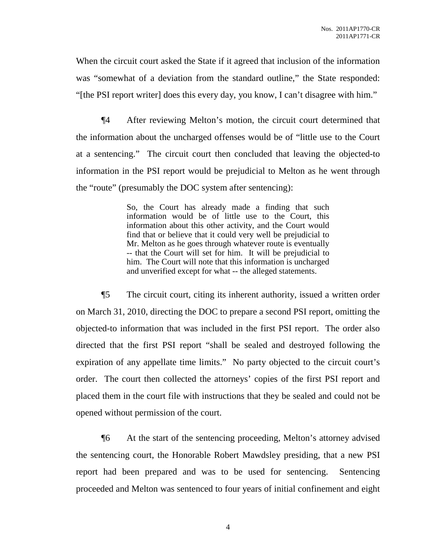When the circuit court asked the State if it agreed that inclusion of the information was "somewhat of a deviation from the standard outline," the State responded: "[the PSI report writer] does this every day, you know, I can't disagree with him."

¶4 After reviewing Melton's motion, the circuit court determined that the information about the uncharged offenses would be of "little use to the Court at a sentencing." The circuit court then concluded that leaving the objected-to information in the PSI report would be prejudicial to Melton as he went through the "route" (presumably the DOC system after sentencing):

> So, the Court has already made a finding that such information would be of little use to the Court, this information about this other activity, and the Court would find that or believe that it could very well be prejudicial to Mr. Melton as he goes through whatever route is eventually -- that the Court will set for him. It will be prejudicial to him. The Court will note that this information is uncharged and unverified except for what -- the alleged statements.

¶5 The circuit court, citing its inherent authority, issued a written order on March 31, 2010, directing the DOC to prepare a second PSI report, omitting the objected-to information that was included in the first PSI report. The order also directed that the first PSI report "shall be sealed and destroyed following the expiration of any appellate time limits." No party objected to the circuit court's order. The court then collected the attorneys' copies of the first PSI report and placed them in the court file with instructions that they be sealed and could not be opened without permission of the court.

¶6 At the start of the sentencing proceeding, Melton's attorney advised the sentencing court, the Honorable Robert Mawdsley presiding, that a new PSI report had been prepared and was to be used for sentencing. Sentencing proceeded and Melton was sentenced to four years of initial confinement and eight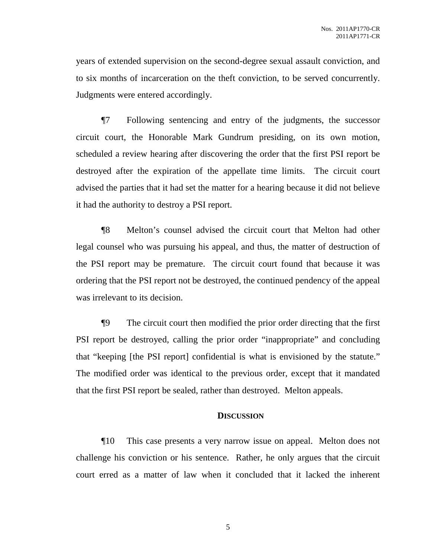years of extended supervision on the second-degree sexual assault conviction, and to six months of incarceration on the theft conviction, to be served concurrently. Judgments were entered accordingly.

¶7 Following sentencing and entry of the judgments, the successor circuit court, the Honorable Mark Gundrum presiding, on its own motion, scheduled a review hearing after discovering the order that the first PSI report be destroyed after the expiration of the appellate time limits. The circuit court advised the parties that it had set the matter for a hearing because it did not believe it had the authority to destroy a PSI report.

¶8 Melton's counsel advised the circuit court that Melton had other legal counsel who was pursuing his appeal, and thus, the matter of destruction of the PSI report may be premature. The circuit court found that because it was ordering that the PSI report not be destroyed, the continued pendency of the appeal was irrelevant to its decision.

¶9 The circuit court then modified the prior order directing that the first PSI report be destroyed, calling the prior order "inappropriate" and concluding that "keeping [the PSI report] confidential is what is envisioned by the statute." The modified order was identical to the previous order, except that it mandated that the first PSI report be sealed, rather than destroyed. Melton appeals.

#### **DISCUSSION**

¶10 This case presents a very narrow issue on appeal. Melton does not challenge his conviction or his sentence. Rather, he only argues that the circuit court erred as a matter of law when it concluded that it lacked the inherent

5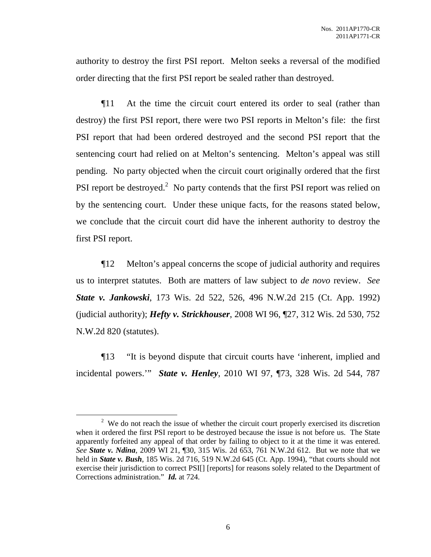authority to destroy the first PSI report. Melton seeks a reversal of the modified order directing that the first PSI report be sealed rather than destroyed.

¶11 At the time the circuit court entered its order to seal (rather than destroy) the first PSI report, there were two PSI reports in Melton's file: the first PSI report that had been ordered destroyed and the second PSI report that the sentencing court had relied on at Melton's sentencing. Melton's appeal was still pending. No party objected when the circuit court originally ordered that the first PSI report be destroyed.<sup>2</sup> No party contends that the first PSI report was relied on by the sentencing court. Under these unique facts, for the reasons stated below, we conclude that the circuit court did have the inherent authority to destroy the first PSI report.

¶12 Melton's appeal concerns the scope of judicial authority and requires us to interpret statutes. Both are matters of law subject to *de novo* review. *See State v. Jankowski*, 173 Wis. 2d 522, 526, 496 N.W.2d 215 (Ct. App. 1992) (judicial authority); *Hefty v. Strickhouser*, 2008 WI 96, ¶27, 312 Wis. 2d 530, 752 N.W.2d 820 (statutes).

¶13 "It is beyond dispute that circuit courts have 'inherent, implied and incidental powers.'" *State v. Henley*, 2010 WI 97, ¶73, 328 Wis. 2d 544, 787

 $2$  We do not reach the issue of whether the circuit court properly exercised its discretion when it ordered the first PSI report to be destroyed because the issue is not before us. The State apparently forfeited any appeal of that order by failing to object to it at the time it was entered. *See State v. Ndina*, 2009 WI 21, ¶30, 315 Wis. 2d 653, 761 N.W.2d 612. But we note that we held in *State v. Bush*, 185 Wis. 2d 716, 519 N.W.2d 645 (Ct. App. 1994), "that courts should not exercise their jurisdiction to correct PSI[] [reports] for reasons solely related to the Department of Corrections administration." *Id.* at 724.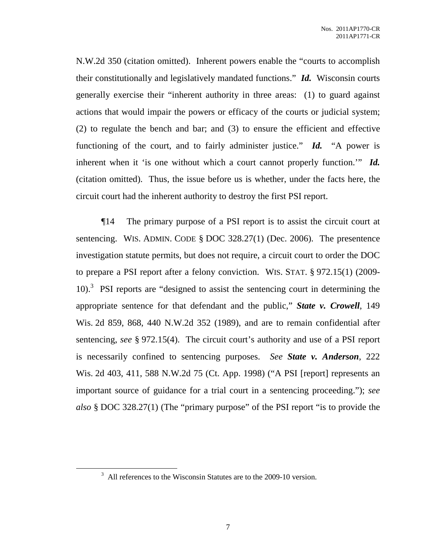N.W.2d 350 (citation omitted). Inherent powers enable the "courts to accomplish their constitutionally and legislatively mandated functions." *Id.* Wisconsin courts generally exercise their "inherent authority in three areas: (1) to guard against actions that would impair the powers or efficacy of the courts or judicial system; (2) to regulate the bench and bar; and (3) to ensure the efficient and effective functioning of the court, and to fairly administer justice." *Id.* "A power is inherent when it 'is one without which a court cannot properly function.'" *Id.* (citation omitted). Thus, the issue before us is whether, under the facts here, the circuit court had the inherent authority to destroy the first PSI report.

¶14 The primary purpose of a PSI report is to assist the circuit court at sentencing. WIS. ADMIN. CODE § DOC 328.27(1) (Dec. 2006). The presentence investigation statute permits, but does not require, a circuit court to order the DOC to prepare a PSI report after a felony conviction. WIS. STAT. § 972.15(1) (2009- 10). 3 PSI reports are "designed to assist the sentencing court in determining the appropriate sentence for that defendant and the public," *State v. Crowell*, 149 Wis. 2d 859, 868, 440 N.W.2d 352 (1989), and are to remain confidential after sentencing, *see* § 972.15(4). The circuit court's authority and use of a PSI report is necessarily confined to sentencing purposes. *See State v. Anderson*, 222 Wis. 2d 403, 411, 588 N.W.2d 75 (Ct. App. 1998) ("A PSI [report] represents an important source of guidance for a trial court in a sentencing proceeding."); *see also* § DOC 328.27(1) (The "primary purpose" of the PSI report "is to provide the

 $3\overline{})$  All references to the Wisconsin Statutes are to the 2009-10 version.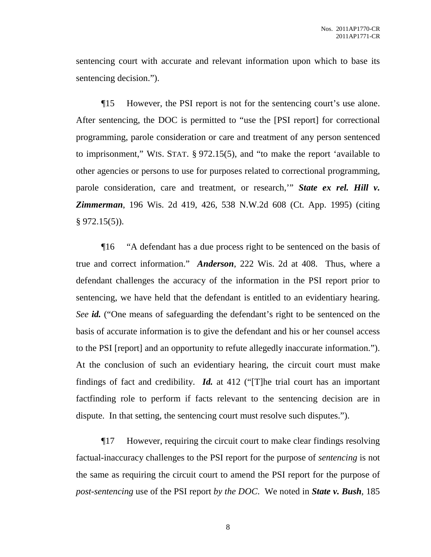sentencing court with accurate and relevant information upon which to base its sentencing decision.").

¶15 However, the PSI report is not for the sentencing court's use alone. After sentencing, the DOC is permitted to "use the [PSI report] for correctional programming, parole consideration or care and treatment of any person sentenced to imprisonment," WIS. STAT. § 972.15(5), and "to make the report 'available to other agencies or persons to use for purposes related to correctional programming, parole consideration, care and treatment, or research,'" *State ex rel. Hill v. Zimmerman*, 196 Wis. 2d 419, 426, 538 N.W.2d 608 (Ct. App. 1995) (citing  $§ 972.15(5)$ ).

¶16 "A defendant has a due process right to be sentenced on the basis of true and correct information." *Anderson*, 222 Wis. 2d at 408. Thus, where a defendant challenges the accuracy of the information in the PSI report prior to sentencing, we have held that the defendant is entitled to an evidentiary hearing. *See id.* ("One means of safeguarding the defendant's right to be sentenced on the basis of accurate information is to give the defendant and his or her counsel access to the PSI [report] and an opportunity to refute allegedly inaccurate information."). At the conclusion of such an evidentiary hearing, the circuit court must make findings of fact and credibility. *Id.* at 412 ("[T]he trial court has an important factfinding role to perform if facts relevant to the sentencing decision are in dispute. In that setting, the sentencing court must resolve such disputes.").

¶17 However, requiring the circuit court to make clear findings resolving factual-inaccuracy challenges to the PSI report for the purpose of *sentencing* is not the same as requiring the circuit court to amend the PSI report for the purpose of *post-sentencing* use of the PSI report *by the DOC*. We noted in *State v. Bush*, 185

8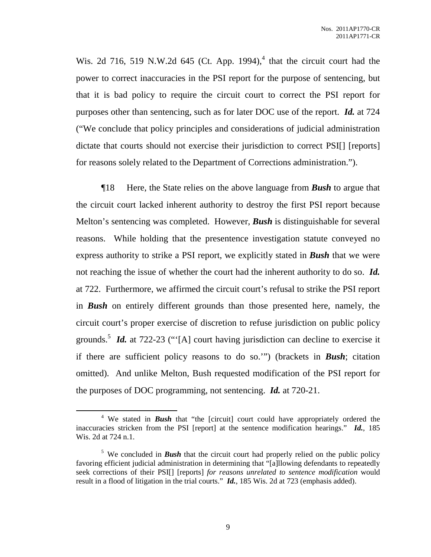Wis. 2d 716, 519 N.W.2d 645 (Ct. App. 1994),<sup>4</sup> that the circuit court had the power to correct inaccuracies in the PSI report for the purpose of sentencing, but that it is bad policy to require the circuit court to correct the PSI report for purposes other than sentencing, such as for later DOC use of the report. *Id.* at 724 ("We conclude that policy principles and considerations of judicial administration dictate that courts should not exercise their jurisdiction to correct PSI[] [reports] for reasons solely related to the Department of Corrections administration.").

¶18 Here, the State relies on the above language from *Bush* to argue that the circuit court lacked inherent authority to destroy the first PSI report because Melton's sentencing was completed. However, *Bush* is distinguishable for several reasons. While holding that the presentence investigation statute conveyed no express authority to strike a PSI report, we explicitly stated in *Bush* that we were not reaching the issue of whether the court had the inherent authority to do so. *Id.* at 722. Furthermore, we affirmed the circuit court's refusal to strike the PSI report in *Bush* on entirely different grounds than those presented here, namely, the circuit court's proper exercise of discretion to refuse jurisdiction on public policy grounds.<sup>5</sup> *Id.* at 722-23 ("[A] court having jurisdiction can decline to exercise it if there are sufficient policy reasons to do so.'") (brackets in *Bush*; citation omitted). And unlike Melton, Bush requested modification of the PSI report for the purposes of DOC programming, not sentencing. *Id.* at 720-21.

<sup>&</sup>lt;sup>4</sup> We stated in **Bush** that "the [circuit] court could have appropriately ordered the inaccuracies stricken from the PSI [report] at the sentence modification hearings." *Id.*, 185 Wis. 2d at 724 n.1.

<sup>&</sup>lt;sup>5</sup> We concluded in **Bush** that the circuit court had properly relied on the public policy favoring efficient judicial administration in determining that "[a]llowing defendants to repeatedly seek corrections of their PSI[] [reports] *for reasons unrelated to sentence modification* would result in a flood of litigation in the trial courts." *Id.*, 185 Wis. 2d at 723 (emphasis added).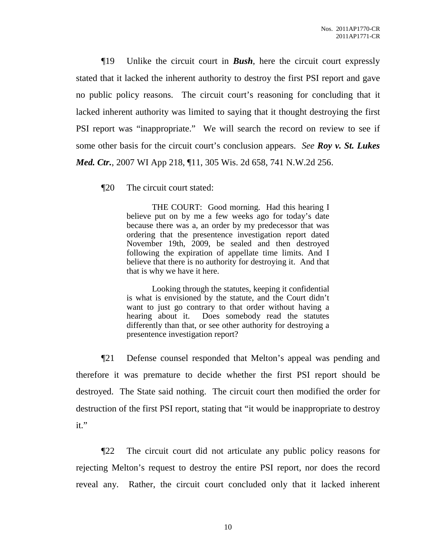¶19 Unlike the circuit court in *Bush*, here the circuit court expressly stated that it lacked the inherent authority to destroy the first PSI report and gave no public policy reasons. The circuit court's reasoning for concluding that it lacked inherent authority was limited to saying that it thought destroying the first PSI report was "inappropriate." We will search the record on review to see if some other basis for the circuit court's conclusion appears. *See Roy v. St. Lukes Med. Ctr.*, 2007 WI App 218, ¶11, 305 Wis. 2d 658, 741 N.W.2d 256.

¶20 The circuit court stated:

THE COURT: Good morning. Had this hearing I believe put on by me a few weeks ago for today's date because there was a, an order by my predecessor that was ordering that the presentence investigation report dated November 19th, 2009, be sealed and then destroyed following the expiration of appellate time limits. And I believe that there is no authority for destroying it. And that that is why we have it here.

Looking through the statutes, keeping it confidential is what is envisioned by the statute, and the Court didn't want to just go contrary to that order without having a hearing about it. Does somebody read the statutes differently than that, or see other authority for destroying a presentence investigation report?

¶21 Defense counsel responded that Melton's appeal was pending and therefore it was premature to decide whether the first PSI report should be destroyed. The State said nothing. The circuit court then modified the order for destruction of the first PSI report, stating that "it would be inappropriate to destroy it."

¶22 The circuit court did not articulate any public policy reasons for rejecting Melton's request to destroy the entire PSI report, nor does the record reveal any. Rather, the circuit court concluded only that it lacked inherent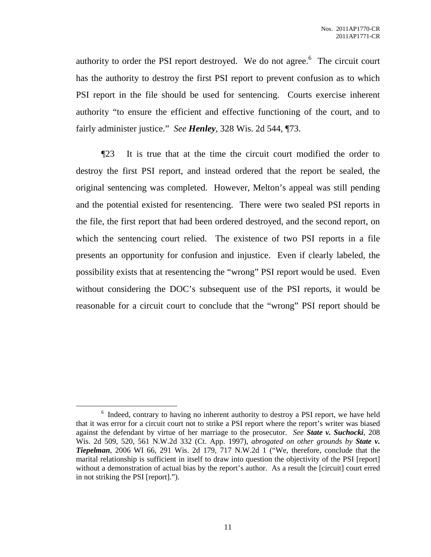authority to order the PSI report destroyed. We do not agree.<sup>6</sup> The circuit court has the authority to destroy the first PSI report to prevent confusion as to which PSI report in the file should be used for sentencing. Courts exercise inherent authority "to ensure the efficient and effective functioning of the court, and to fairly administer justice." *See Henley*, 328 Wis. 2d 544, ¶73.

¶23 It is true that at the time the circuit court modified the order to destroy the first PSI report, and instead ordered that the report be sealed, the original sentencing was completed. However, Melton's appeal was still pending and the potential existed for resentencing. There were two sealed PSI reports in the file, the first report that had been ordered destroyed, and the second report, on which the sentencing court relied. The existence of two PSI reports in a file presents an opportunity for confusion and injustice. Even if clearly labeled, the possibility exists that at resentencing the "wrong" PSI report would be used. Even without considering the DOC's subsequent use of the PSI reports, it would be reasonable for a circuit court to conclude that the "wrong" PSI report should be

<sup>&</sup>lt;sup>6</sup> Indeed, contrary to having no inherent authority to destroy a PSI report, we have held that it was error for a circuit court not to strike a PSI report where the report's writer was biased against the defendant by virtue of her marriage to the prosecutor. *See State v. Suchocki*, 208 Wis. 2d 509, 520, 561 N.W.2d 332 (Ct. App. 1997), *abrogated on other grounds by State v. Tiepelman*, 2006 WI 66, 291 Wis. 2d 179, 717 N.W.2d 1 ("We, therefore, conclude that the marital relationship is sufficient in itself to draw into question the objectivity of the PSI [report] without a demonstration of actual bias by the report's author. As a result the [circuit] court erred in not striking the PSI [report].").